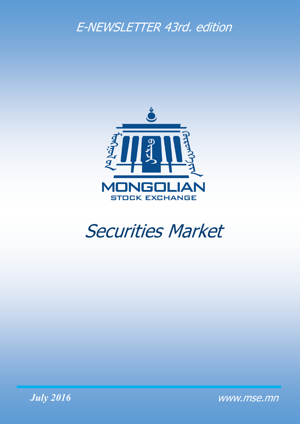## E-NEWSLETTER 43rd. edition



# Securities Market



www.mse.mn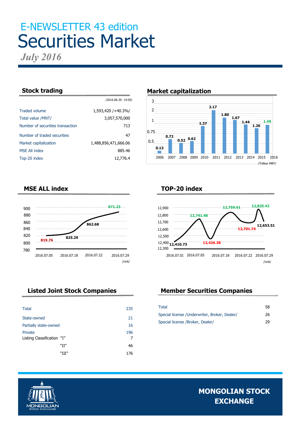# E-NEWSLETTER 43 edition Securities Market

/2016.06.30 14:05/

*July 2016*

| <b>Traded volume</b>             | 1,593,420 / + 40.3%/ |
|----------------------------------|----------------------|
| Total value /MNT/                | 3,057,570,000        |
| Number of securities transaction | 713                  |
| Number of traded securities      | 47                   |
| Market capitalization            | 1,488,856,471,666.06 |
| <b>MSE All index</b>             | 885.46               |
| Top-20 index                     | 12,776.4             |

#### **Stock trading**  Market capitalization



#### **MSE ALL index**



| <b>Total</b>               | 235 |
|----------------------------|-----|
| State-owned                | 21  |
| Partially state-owned      | 16  |
| Private                    | 196 |
| Listing Classification "I" |     |
| "II"                       | 46  |
| "III″                      | 176 |

#### **TOP-20 index**



### **Listed Joint Stock Companies Member Securities Companies**

| Total                                         | 58 |
|-----------------------------------------------|----|
| Special license /Underwriter, Broker, Dealer/ | 26 |
| Special license /Broker, Dealer/              | 29 |

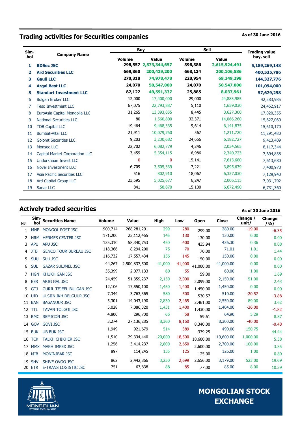### **Trading activities for Securities companies As of 30 June 2016**

| Sim- |                                |               | <b>Buy</b>    |         | <b>Sell</b>   |                                   |  |
|------|--------------------------------|---------------|---------------|---------|---------------|-----------------------------------|--|
| bol  | <b>Company Name</b>            | <b>Volume</b> | <b>Value</b>  | Volume  | Value         | <b>Trading value</b><br>buy, sell |  |
| 1    | <b>BDSec JSC</b>               | 298,557       | 2,573,344,657 | 396,386 | 2,615,924,491 | 5,189,269,148                     |  |
| 2    | <b>Ard Securities LLC</b>      | 669,860       | 200,429,200   | 668,134 | 200,106,586   | 400,535,786                       |  |
| 3    | <b>Gauli LLC</b>               | 270,318       | 74,978,478    | 228,954 | 69,349,298    | 144,327,776                       |  |
| 4    | <b>Argai Best LLC</b>          | 24,070        | 50,547,000    | 24,070  | 50,547,000    | 101,094,000                       |  |
| 5    | <b>Standart Investment LLC</b> | 82,122        | 49,591,337    | 25,885  | 8,037,961     | 57,629,298                        |  |
| 6    | <b>Bulgan Broker LLC</b>       | 12,000        | 17,400,000    | 29,000  | 24,883,985    | 42,283,985                        |  |
| 7    | <b>Teso Investment LLC</b>     | 67,075        | 22,793,887    | 5,110   | 1,659,030     | 24,452,917                        |  |
| 8    | EuroAsia Capital Mongolia LLC  | 31,265        | 13,393,055    | 8,445   | 3,627,300     | 17,020,355                        |  |
| 9    | <b>National Securities LLC</b> | 80            | 1,560,800     | 32,371  | 14,066,260    | 15,627,060                        |  |
| 10   | <b>TDB Capital LLC</b>         | 19,464        | 9,468,335     | 9.614   | 6,141,835     | 15,610,170                        |  |
| 11   | <b>Bumbat-Altai LLC</b>        | 21,911        | 10,079,760    | 567     | 1,211,720     | 11,291,480                        |  |
| 12   | <b>Golomt Securities LLC</b>   | 9,203         | 3,230,682     | 24,656  | 6,182,727     | 9,413,409                         |  |
| 13   | <b>Monsec LLC</b>              | 22,702        | 6,082,779     | 4,246   | 2,034,565     | 8,117,344                         |  |
| 14   | Capital Market Corporation LLC | 3,459         | 5,354,115     | 6,986   | 2,340,723     | 7,694,838                         |  |
| 15   | Undurkhaan Invest LLC          | $\mathbf{0}$  | 0             | 15,141  | 7,613,680     | 7,613,680                         |  |
| 16   | <b>Novel Investment LLC</b>    | 6,709         | 3,505,339     | 7,221   | 3,895,639     | 7,400,978                         |  |
| 17   | Asia Pacific Securities LLC    | 516           | 802,910       | 18,067  | 6,327,030     | 7,129,940                         |  |
| 18   | Ard Capital Group LLC          | 23,595        | 5,025,677     | 6,247   | 2,006,115     | 7,031,792                         |  |
| 19   | <b>Sanar LLC</b>               | 841           | 58,870        | 15,100  | 6,672,490     | 6,731,360                         |  |

#### **Actively traded securities Actively traded securities As of 30 June 2016**

№ **Simbol Securities Name Volume Value High Low Open Close Change / unit/ Change /%/** 1 MNP MONGOL POST JSC 800,714 268,281,291 299 280 299.00 280.00 -19.00 -6.35 2 HRM HERMES CENTER JSC  $171,200$  23,112,465 145 130  $130,00$  130.00 0.00 0.00 3 APU APU JSC 135,310 58,340,753 450 400 <sub>435.94</sub> 436.30 0.36 <sub>0.08</sub> 4 JTB GENCO TOUR BUREAU JSC 118,366 8,294,200 75 70 70.00 71.01 1.01 1.44 <sup>5</sup> SUU SUU JSC 116,732 17,557,434 <sup>156</sup> <sup>145</sup> 150.00 150.00 0.00 0.00 6 SUL GAZAR SULJMEL JSC  $44,267$  2,500,837,500  $41,000$   $41,000$   $41,000,00$   $41,000.00$  0.00 0.00 <sup>7</sup> HGN KHUKH GAN JSC 35,399 2,077,133 <sup>60</sup> <sup>55</sup> 59.00 60.00 1.00 1.69 <sup>8</sup> EER ARIG GAL JSC 24,459 51,359,237 2,150 2,000 2,099.00 2,150.00 51.00 2.43 9 GTJ GURIL TEJEEL BULGAN JSC  $12,106$   $17,550,100$   $1,450$   $1,400$   $1,450.00$   $1,450.00$   $0.00$   $0.00$ <sup>10</sup> UID ULSIIN IKH DELGUUR JSC 7,344 3,763,365 <sup>580</sup> <sup>500</sup> 530.57 510.00 -20.57 -3.88 11 BAN BAGANUUR JSC 5,301 14,043,190 2,830 2,465 <sub>2,461.00</sub> 2,550.00 89.00 <sub>3.62</sub> 12 TTL TAVAN TOLGOI JSC 5,028 7,086,320 1,431 1,400 1,430.00 1,404.00 -26.00 -1.82 <sup>13</sup> RMC REMICON JSC 4,800 296,700 <sup>65</sup> <sup>58</sup> 59.61 64.90 5.29 8.87 <sup>14</sup> GOV GOVI JSC 3,274 27,136,285 8,360 8,160 8,340.00 8,300.00 -40.00 -0.48 <sup>15</sup> BUK UB BUK JSC 1,949 921,679 <sup>514</sup> <sup>389</sup> 339.25 490.00 150.75 44.44 16 TCK TALKH CHIKHER JSC 1,510 29,334,440 20,000 18,500 18,600.00 19,600.00 1,000.00 5.38<br>1,256 3,414,237 2,800 2,650 3,600 2,700.00 100.00 3.95 <sup>17</sup> MMX MAKH IMPEX JSC 1,256 3,414,237 2,800 2,650 2,600.00 2,700.00 100.00 3.85 <sup>18</sup> MIB MONINJBAR JSC <sup>897</sup> 114,245 <sup>135</sup> <sup>125</sup> 125.00 126.00 1.00 0.80 19 SHV SHIVE OVOO JSC 862 2,442,866 3,250 2,699 2,656.00 3,179.00 523.00 19.69 20 ETR E-TRANS LOGISTIC JSC 751 63,838 88 85 77.00 85.00 8.00 10.39

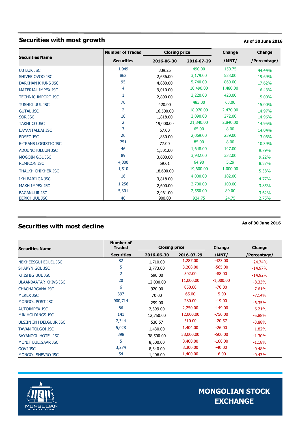### **Securities with most growth As of 30 June 2016**

|                           | <b>Number of Traded</b> | <b>Closing price</b> |            | Change   | <b>Change</b> |
|---------------------------|-------------------------|----------------------|------------|----------|---------------|
| <b>Securities Name</b>    | <b>Securities</b>       | 2016-06-30           | 2016-07-29 | /MNT/    | /Percentage/  |
| <b>UB BUK JSC</b>         | 1,949                   | 339.25               | 490.00     | 150.75   | 44.44%        |
| SHIVEE OVOO JSC           | 862                     | 2,656.00             | 3,179.00   | 523.00   | 19.69%        |
| <b>DARKHAN KHUNS JSC</b>  | 95                      | 4,880.00             | 5,740.00   | 860.00   | 17.62%        |
| MATERIAL IMPEX JSC        | 4                       | 9,010.00             | 10,490.00  | 1,480.00 | 16.43%        |
| <b>TECHNIC IMPORT JSC</b> | 1                       | 2,800.00             | 3,220.00   | 420.00   | 15.00%        |
| <b>TUSHIG UUL JSC</b>     | 70                      | 420.00               | 483.00     | 63.00    | 15.00%        |
| <b>GUTAL JSC</b>          | 2                       | 16,500.00            | 18,970.00  | 2,470.00 | 14.97%        |
| <b>SOR JSC</b>            | 10                      | 1,818.00             | 2,090.00   | 272.00   | 14.96%        |
| <b>TAKHI CO JSC</b>       | 2                       | 19,000.00            | 21,840.00  | 2,840.00 | 14.95%        |
| <b>BAYANTALBAI JSC</b>    | 3                       | 57.00                | 65.00      | 8.00     | 14.04%        |
| <b>BDSEC JSC</b>          | 20                      | 1,830.00             | 2,069.00   | 239.00   | 13.06%        |
| E-TRANS LOGISTIC JSC      | 751                     | 77.00                | 85.00      | 8.00     | 10.39%        |
| <b>ADUUNCHULUUN JSC</b>   | 46                      | 1,501.00             | 1,648.00   | 147.00   | 9.79%         |
| <b>MOGOIN GOL JSC</b>     | 89                      | 3,600.00             | 3,932.00   | 332.00   | 9.22%         |
| <b>REMICON JSC</b>        | 4,800                   | 59.61                | 64.90      | 5.29     | 8.87%         |
| THALKH CHIKHER JSC        | 1,510                   | 18,600.00            | 19,600.00  | 1,000.00 | 5.38%         |
| IKH BARILGA JSC           | 16                      | 3,818.00             | 4,000.00   | 182.00   | 4.77%         |
| <b>MAKH IMPEX JSC</b>     | 1,256                   | 2,600.00             | 2,700.00   | 100.00   | 3.85%         |
| <b>BAGANUUR JSC</b>       | 5,301                   | 2,461.00             | 2,550.00   | 89.00    | 3.62%         |
| <b>BERKH UUL JSC</b>      | 40                      | 900.00               | 924.75     | 24.75    | 2.75%         |

### **Securities with most decline As of 30 June 2016**

| <b>Securities Name</b>       | Number of<br><b>Traded</b> |            | <b>Closing price</b> |             | Change       |
|------------------------------|----------------------------|------------|----------------------|-------------|--------------|
|                              | <b>Securities</b>          | 2016-06-30 | 2016-07-29           | /MNT/       | /Percentage/ |
| NEKHEESGUI EDLEL JSC         | 82                         | 1,710.00   | 1,287.00             | $-423.00$   | $-24.74%$    |
| <b>SHARYN GOL JSC</b>        | 5                          | 3,773.00   | 3,208.00             | $-565.00$   | $-14.97\%$   |
| <b>KHISHIG UUL JSC</b>       | 2                          | 590.00     | 502.00               | $-88.00$    | $-14.92%$    |
| <b>ULAANBAATAR KHIVS JSC</b> | 20                         | 12,000.00  | 11,000.00            | $-1,000.00$ | $-8.33%$     |
| <b>CHACHARGANA JSC</b>       | 6                          | 920.00     | 850.00               | $-70.00$    | $-7.61%$     |
| <b>MEREX JSC</b>             | 397                        | 70.00      | 65.00                | $-5.00$     | $-7.14%$     |
| MONGOL POST JSC              | 900,714                    | 299.00     | 280.00               | $-19.00$    | $-6.35%$     |
| <b>AUTOIMPEX JSC</b>         | 86                         | 2,399.00   | 2,250.00             | $-149.00$   | $-6.21%$     |
| MIK HOLDINGS JSC             | 141                        | 12,750.00  | 12,000.00            | $-750.00$   | $-5.88%$     |
| ULSIIN IKH DELGUUR JSC       | 7,344                      | 530.57     | 510.00               | $-20.57$    | $-3.88%$     |
| <b>TAVAN TOLGOI JSC</b>      | 5,028                      | 1,430.00   | 1,404.00             | $-26.00$    | $-1.82%$     |
| <b>BAYANGOL HOTEL JSC</b>    | 398                        | 38,500.00  | 38,000.00            | $-500.00$   | $-1.30%$     |
| <b>MONIT BULIGAAR JSC</b>    | 5                          | 8,500.00   | 8,400.00             | $-100.00$   | $-1.18%$     |
| <b>GOVI JSC</b>              | 3,274                      | 8,340.00   | 8,300.00             | $-40.00$    | $-0.48%$     |
| MONGOL SHEVRO JSC            | 54                         | 1,406.00   | 1,400.00             | $-6.00$     | $-0.43%$     |

**Number of** 

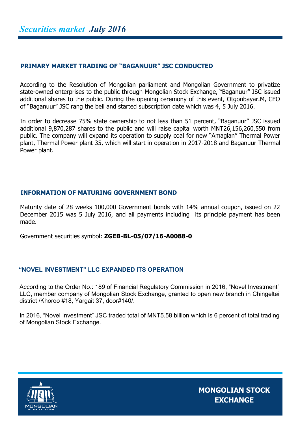#### **PRIMARY MARKET TRADING OF "BAGANUUR" JSC CONDUCTED**

According to the Resolution of Mongolian parliament and Mongolian Government to privatize state-owned enterprises to the public through Mongolian Stock Exchange, "Baganuur" JSC issued additional shares to the public. During the opening ceremony of this event, Otgonbayar.M, CEO of "Baganuur" JSC rang the bell and started subscription date which was 4, 5 July 2016.

In order to decrease 75% state ownership to not less than 51 percent, "Baganuur" JSC issued additional 9,870,287 shares to the public and will raise capital worth MNT26,156,260,550 from public. The company will expand its operation to supply coal for new "Amaglan" Thermal Power plant, Thermal Power plant 35, which will start in operation in 2017-2018 and Baganuur Thermal Power plant.

#### **INFORMATION OF MATURING GOVERNMENT BOND**

Maturity date of 28 weeks 100,000 Government bonds with 14% annual coupon, issued on 22 December 2015 was 5 July 2016, and all payments including its principle payment has been made.

Government securities symbol: **ZGEB-BL-05/07/16-A0088-0**

#### **"NOVEL INVESTMENT" LLC EXPANDED ITS OPERATION**

According to the Order No.: 189 of Financial Regulatory Commission in 2016, "Novel Investment" LLC, member company of Mongolian Stock Exchange, granted to open new branch in Chingeltei district /Khoroo #18, Yargait 37, door#140/.

In 2016, "Novel Investment" JSC traded total of MNT5.58 billion which is 6 percent of total trading of Mongolian Stock Exchange.